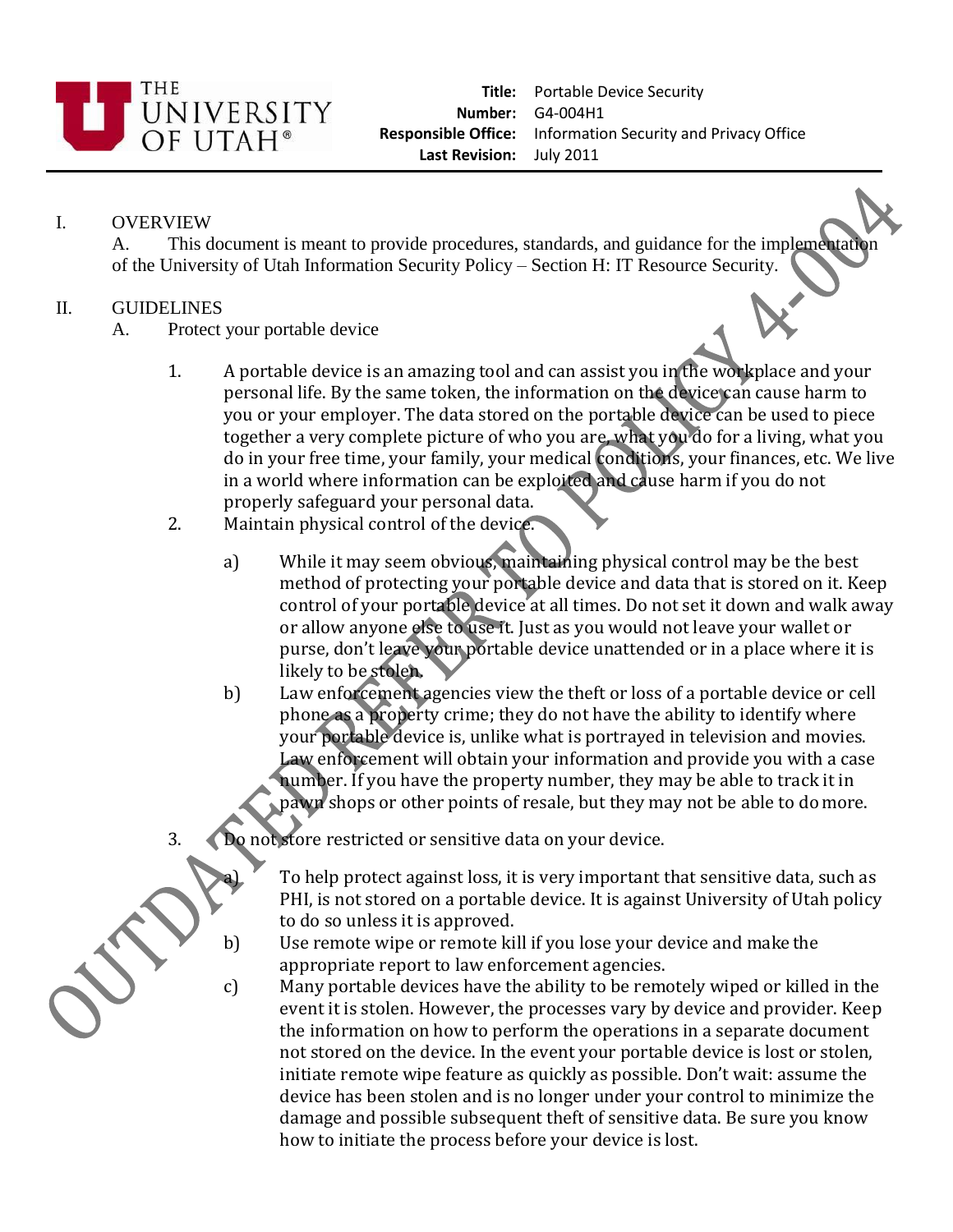

## I. OVERVIEW

A. This document is meant to provide procedures, standards, and guidance for the implementation of the University of Utah Information Security Policy – Section H: IT Resource Security.

## II. GUIDELINES

- A. Protect your portable device
	- 1. A portable device is an amazing tool and can assist you in the workplace and your personal life. By the same token, the information on the device can cause harm to you or your employer. The data stored on the portable device can be used to piece together a very complete picture of who you are, what you do for a living, what you do in your free time, your family, your medical conditions, your finances, etc. We live in a world where information can be exploited and cause harm if you do not properly safeguard your personal data.
	- 2. Maintain physical control of the device.
		- a) While it may seem obvious, maintaining physical control may be the best method of protecting your portable device and data that is stored on it. Keep control of your portable device at all times. Do not set it down and walk away or allow anyone else to use it. Just as you would not leave your wallet or purse, don't leave your portable device unattended or in a place where it is likely to be stolen.
		- b) Law enforcement agencies view the theft or loss of a portable device or cell phone as a property crime; they do not have the ability to identify where your portable device is, unlike what is portrayed in television and movies. Law enforcement will obtain your information and provide you with a case number. If you have the property number, they may be able to track it in pawn shops or other points of resale, but they may not be able to domore.
	- 3. Do not store restricted or sensitive data on your device.



To help protect against loss, it is very important that sensitive data, such as PHI, is not stored on a portable device. It is against University of Utah policy to do so unless it is approved.

- b) Use remote wipe or remote kill if you lose your device and make the appropriate report to law enforcement agencies.
- c) Many portable devices have the ability to be remotely wiped or killed in the event it is stolen. However, the processes vary by device and provider. Keep the information on how to perform the operations in a separate document not stored on the device. In the event your portable device is lost or stolen, initiate remote wipe feature as quickly as possible. Don't wait: assume the device has been stolen and is no longer under your control to minimize the damage and possible subsequent theft of sensitive data. Be sure you know how to initiate the process before your device is lost.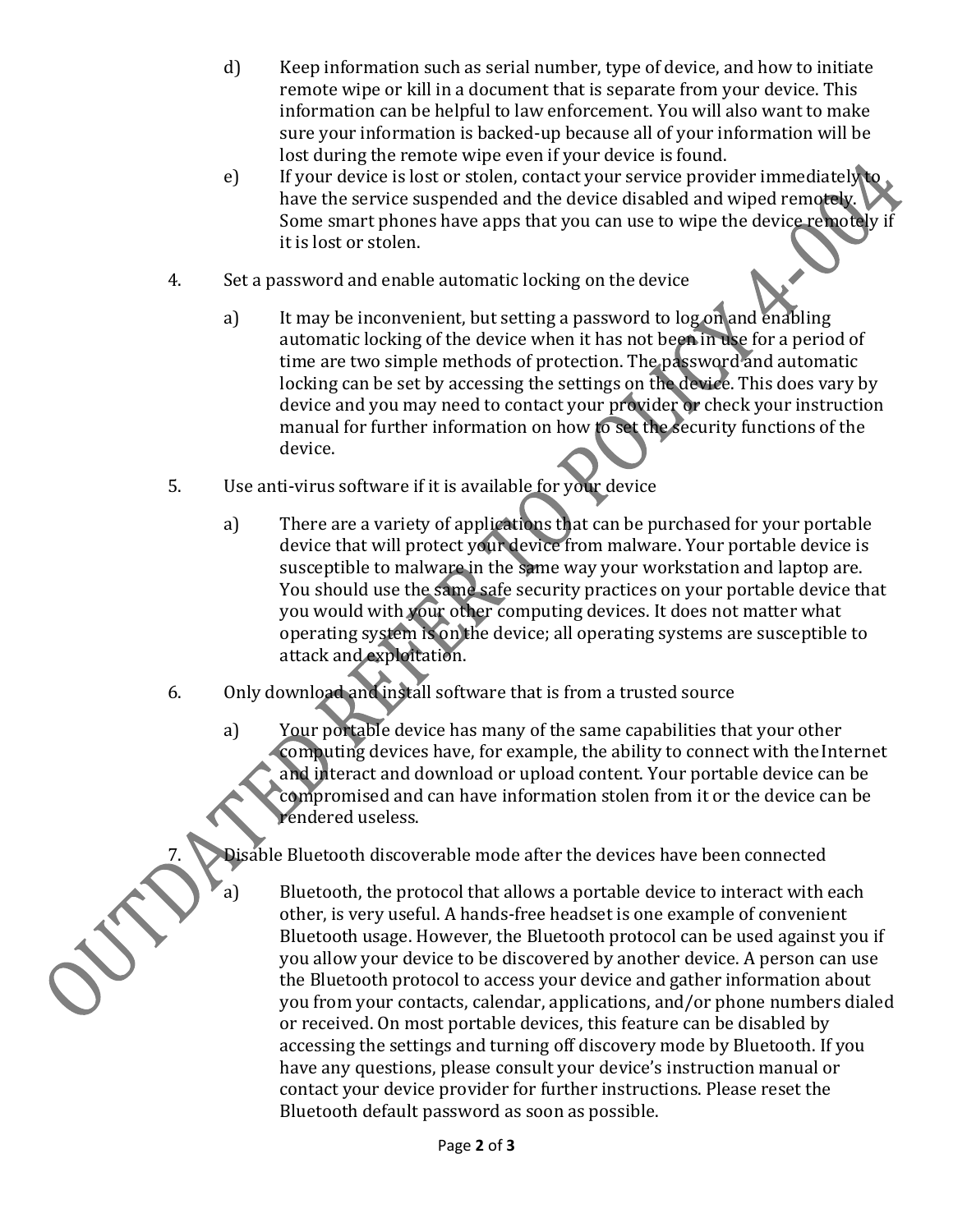- d) Keep information such as serial number, type of device, and how to initiate remote wipe or kill in a document that is separate from your device. This information can be helpful to law enforcement. You will also want to make sure your information is backed‐up because all of your information will be lost during the remote wipe even if your device is found.
- e) If your device is lost or stolen, contact your service provider immediately to have the service suspended and the device disabled and wiped remotely. Some smart phones have apps that you can use to wipe the device remotely if it is lost or stolen.
- 4. Set a password and enable automatic locking on the device
	- a) It may be inconvenient, but setting a password to log on and enabling automatic locking of the device when it has not been in use for a period of time are two simple methods of protection. The password and automatic locking can be set by accessing the settings on the device. This does vary by device and you may need to contact your provider or check your instruction manual for further information on how to set the security functions of the device.
- 5. Use anti-virus software if it is available for your device
	- a) There are a variety of applications that can be purchased for your portable device that will protect your device from malware. Your portable device is susceptible to malware in the same way your workstation and laptop are. You should use the same safe security practices on your portable device that you would with your other computing devices. It does not matter what operating system is on the device; all operating systems are susceptible to attack and exploitation.
- 6. Only download and install software that is from a trusted source
	- a) Your portable device has many of the same capabilities that your other computing devices have, for example, the ability to connect with the Internet and interact and download or upload content. Your portable device can be compromised and can have information stolen from it or the device can be rendered useless.

Disable Bluetooth discoverable mode after the devices have been connected

a) Bluetooth, the protocol that allows a portable device to interact with each other, is very useful. A hands‐free headset is one example of convenient Bluetooth usage. However, the Bluetooth protocol can be used against you if you allow your device to be discovered by another device. A person can use the Bluetooth protocol to access your device and gather information about you from your contacts, calendar, applications, and/or phone numbers dialed or received. On most portable devices, this feature can be disabled by accessing the settings and turning off discovery mode by Bluetooth. If you have any questions, please consult your device's instruction manual or contact your device provider for further instructions. Please reset the Bluetooth default password as soon as possible.